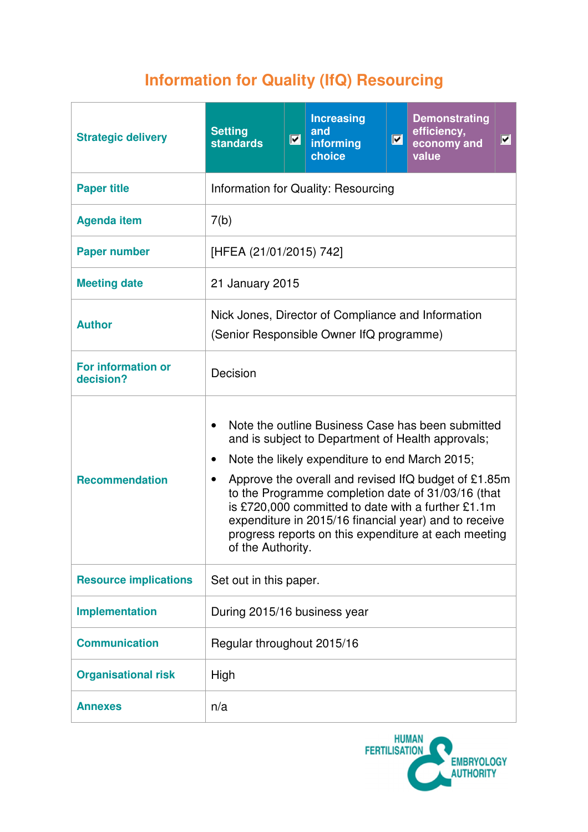# **Information for Quality (IfQ) Resourcing**

| <b>Strategic delivery</b>              | <b>Setting</b><br><b>standards</b>                                                                                                                                                                                                                                                                                                                                                                                                                                                                | $\blacksquare$ | <b>Increasing</b><br>and<br>informing<br>choice | $\blacksquare$ | <b>Demonstrating</b><br>efficiency,<br>economy and<br>value | $ \mathbf{v} $ |
|----------------------------------------|---------------------------------------------------------------------------------------------------------------------------------------------------------------------------------------------------------------------------------------------------------------------------------------------------------------------------------------------------------------------------------------------------------------------------------------------------------------------------------------------------|----------------|-------------------------------------------------|----------------|-------------------------------------------------------------|----------------|
| <b>Paper title</b>                     | Information for Quality: Resourcing                                                                                                                                                                                                                                                                                                                                                                                                                                                               |                |                                                 |                |                                                             |                |
| <b>Agenda item</b>                     | 7(b)                                                                                                                                                                                                                                                                                                                                                                                                                                                                                              |                |                                                 |                |                                                             |                |
| <b>Paper number</b>                    | [HFEA (21/01/2015) 742]                                                                                                                                                                                                                                                                                                                                                                                                                                                                           |                |                                                 |                |                                                             |                |
| <b>Meeting date</b>                    | 21 January 2015                                                                                                                                                                                                                                                                                                                                                                                                                                                                                   |                |                                                 |                |                                                             |                |
| <b>Author</b>                          | Nick Jones, Director of Compliance and Information<br>(Senior Responsible Owner IfQ programme)                                                                                                                                                                                                                                                                                                                                                                                                    |                |                                                 |                |                                                             |                |
| <b>For information or</b><br>decision? | Decision                                                                                                                                                                                                                                                                                                                                                                                                                                                                                          |                |                                                 |                |                                                             |                |
| <b>Recommendation</b>                  | Note the outline Business Case has been submitted<br>$\bullet$<br>and is subject to Department of Health approvals;<br>Note the likely expenditure to end March 2015;<br>٠<br>Approve the overall and revised IfQ budget of £1.85m<br>$\bullet$<br>to the Programme completion date of 31/03/16 (that<br>is £720,000 committed to date with a further £1.1m<br>expenditure in 2015/16 financial year) and to receive<br>progress reports on this expenditure at each meeting<br>of the Authority. |                |                                                 |                |                                                             |                |
| <b>Resource implications</b>           | Set out in this paper.                                                                                                                                                                                                                                                                                                                                                                                                                                                                            |                |                                                 |                |                                                             |                |
| <b>Implementation</b>                  | During 2015/16 business year                                                                                                                                                                                                                                                                                                                                                                                                                                                                      |                |                                                 |                |                                                             |                |
| <b>Communication</b>                   | Regular throughout 2015/16                                                                                                                                                                                                                                                                                                                                                                                                                                                                        |                |                                                 |                |                                                             |                |
| <b>Organisational risk</b>             | High                                                                                                                                                                                                                                                                                                                                                                                                                                                                                              |                |                                                 |                |                                                             |                |
| <b>Annexes</b>                         | n/a                                                                                                                                                                                                                                                                                                                                                                                                                                                                                               |                |                                                 |                |                                                             |                |

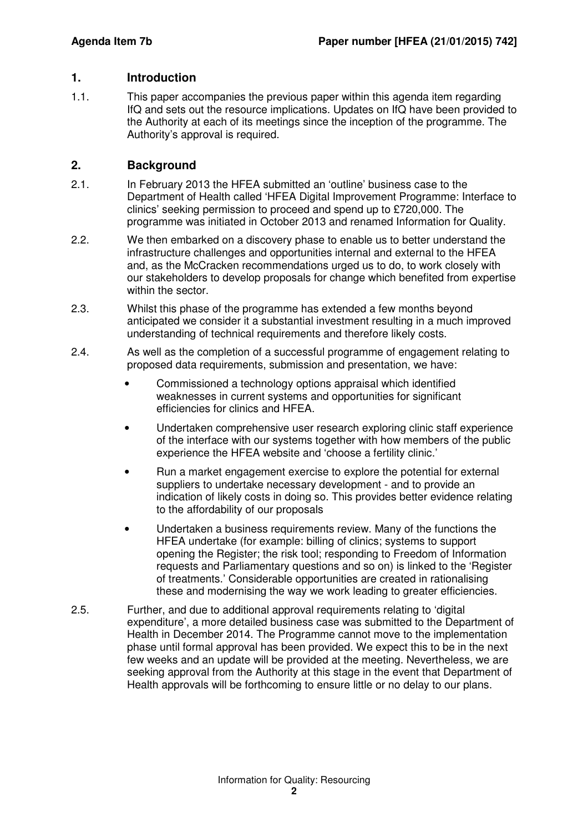## **1. Introduction**

1.1. This paper accompanies the previous paper within this agenda item regarding IfQ and sets out the resource implications. Updates on IfQ have been provided to the Authority at each of its meetings since the inception of the programme. The Authority's approval is required.

## **2. Background**

- 2.1. In February 2013 the HFEA submitted an 'outline' business case to the Department of Health called 'HFEA Digital Improvement Programme: Interface to clinics' seeking permission to proceed and spend up to £720,000. The programme was initiated in October 2013 and renamed Information for Quality.
- 2.2. We then embarked on a discovery phase to enable us to better understand the infrastructure challenges and opportunities internal and external to the HFEA and, as the McCracken recommendations urged us to do, to work closely with our stakeholders to develop proposals for change which benefited from expertise within the sector.
- 2.3. Whilst this phase of the programme has extended a few months beyond anticipated we consider it a substantial investment resulting in a much improved understanding of technical requirements and therefore likely costs.
- 2.4. As well as the completion of a successful programme of engagement relating to proposed data requirements, submission and presentation, we have:
	- Commissioned a technology options appraisal which identified weaknesses in current systems and opportunities for significant efficiencies for clinics and HFEA.
	- Undertaken comprehensive user research exploring clinic staff experience of the interface with our systems together with how members of the public experience the HFEA website and 'choose a fertility clinic.'
	- Run a market engagement exercise to explore the potential for external suppliers to undertake necessary development - and to provide an indication of likely costs in doing so. This provides better evidence relating to the affordability of our proposals
	- Undertaken a business requirements review. Many of the functions the HFEA undertake (for example: billing of clinics; systems to support opening the Register; the risk tool; responding to Freedom of Information requests and Parliamentary questions and so on) is linked to the 'Register of treatments.' Considerable opportunities are created in rationalising these and modernising the way we work leading to greater efficiencies.
- 2.5. Further, and due to additional approval requirements relating to 'digital expenditure', a more detailed business case was submitted to the Department of Health in December 2014. The Programme cannot move to the implementation phase until formal approval has been provided. We expect this to be in the next few weeks and an update will be provided at the meeting. Nevertheless, we are seeking approval from the Authority at this stage in the event that Department of Health approvals will be forthcoming to ensure little or no delay to our plans.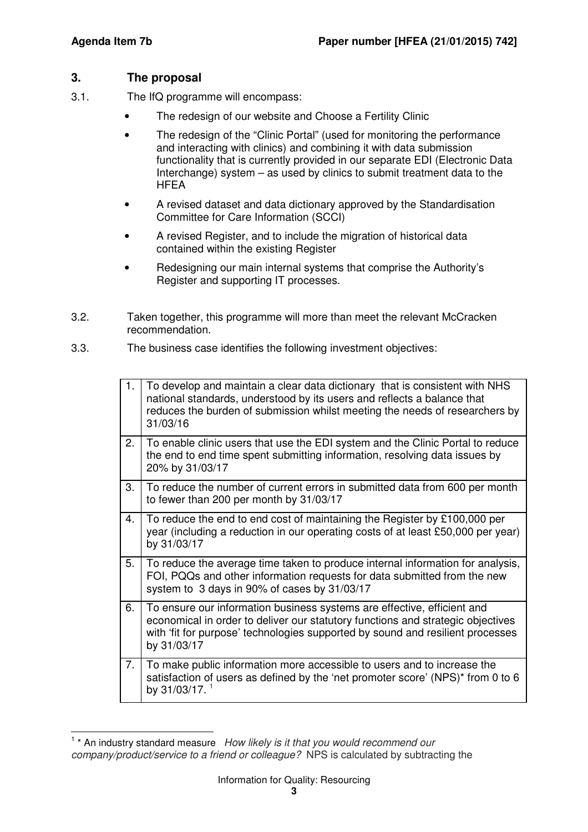# **3. The proposal**

- 3.1. The IfQ programme will encompass:
	- The redesign of our website and Choose a Fertility Clinic
	- The redesign of the "Clinic Portal" (used for monitoring the performance and interacting with clinics) and combining it with data submission functionality that is currently provided in our separate EDI (Electronic Data Interchange) system – as used by clinics to submit treatment data to the HFEA
	- A revised dataset and data dictionary approved by the Standardisation Committee for Care Information (SCCI)
	- A revised Register, and to include the migration of historical data contained within the existing Register
	- Redesigning our main internal systems that comprise the Authority's Register and supporting IT processes.
- 3.2. Taken together, this programme will more than meet the relevant McCracken recommendation.
- 3.3. The business case identifies the following investment objectives:

| 1. | To develop and maintain a clear data dictionary that is consistent with NHS<br>national standards, understood by its users and reflects a balance that<br>reduces the burden of submission whilst meeting the needs of researchers by<br>31/03/16           |
|----|-------------------------------------------------------------------------------------------------------------------------------------------------------------------------------------------------------------------------------------------------------------|
| 2. | To enable clinic users that use the EDI system and the Clinic Portal to reduce<br>the end to end time spent submitting information, resolving data issues by<br>20% by 31/03/17                                                                             |
| 3. | To reduce the number of current errors in submitted data from 600 per month<br>to fewer than 200 per month by 31/03/17                                                                                                                                      |
| 4. | To reduce the end to end cost of maintaining the Register by £100,000 per<br>year (including a reduction in our operating costs of at least £50,000 per year)<br>by 31/03/17                                                                                |
| 5. | To reduce the average time taken to produce internal information for analysis,<br>FOI, PQQs and other information requests for data submitted from the new<br>system to 3 days in 90% of cases by 31/03/17                                                  |
| 6. | To ensure our information business systems are effective, efficient and<br>economical in order to deliver our statutory functions and strategic objectives<br>with 'fit for purpose' technologies supported by sound and resilient processes<br>by 31/03/17 |
| 7. | To make public information more accessible to users and to increase the<br>satisfaction of users as defined by the 'net promoter score' (NPS)* from 0 to 6<br>by 31/03/17. $1$                                                                              |

<sup>1 \*</sup> An industry standard measure How likely is it that you would recommend our company/product/service to a friend or colleague? NPS is calculated by subtracting the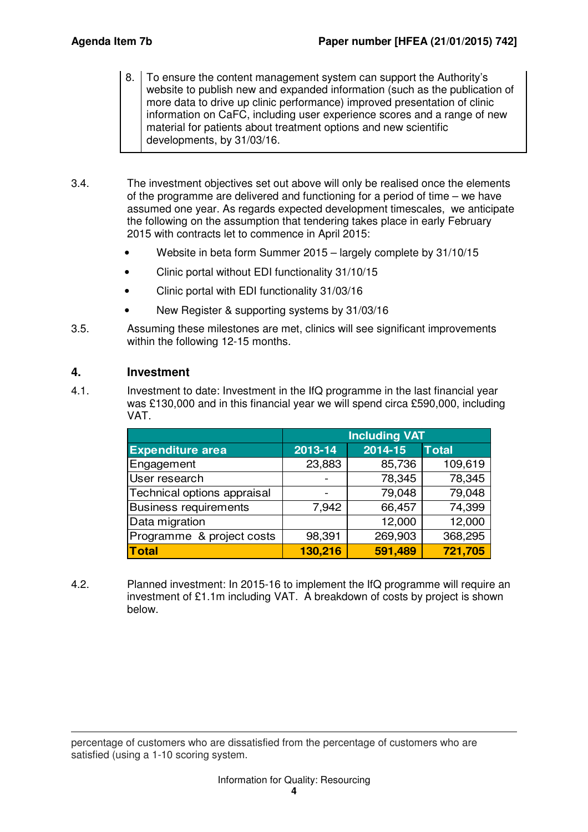- 8. To ensure the content management system can support the Authority's website to publish new and expanded information (such as the publication of more data to drive up clinic performance) improved presentation of clinic information on CaFC, including user experience scores and a range of new material for patients about treatment options and new scientific developments, by 31/03/16.
- 3.4. The investment objectives set out above will only be realised once the elements of the programme are delivered and functioning for a period of time – we have assumed one year. As regards expected development timescales, we anticipate the following on the assumption that tendering takes place in early February 2015 with contracts let to commence in April 2015:
	- Website in beta form Summer 2015 largely complete by 31/10/15
	- Clinic portal without EDI functionality 31/10/15
	- Clinic portal with EDI functionality 31/03/16
	- New Register & supporting systems by 31/03/16
- 3.5. Assuming these milestones are met, clinics will see significant improvements within the following 12-15 months.

## **4. Investment**

4.1. Investment to date: Investment in the IfQ programme in the last financial year was £130,000 and in this financial year we will spend circa £590,000, including VAT.

|                              | <b>Including VAT</b> |         |              |
|------------------------------|----------------------|---------|--------------|
| <b>Expenditure area</b>      | 2013-14              | 2014-15 | <b>Total</b> |
| Engagement                   | 23,883               | 85,736  | 109,619      |
| User research                |                      | 78,345  | 78,345       |
| Technical options appraisal  |                      | 79,048  | 79,048       |
| <b>Business requirements</b> | 7,942                | 66,457  | 74,399       |
| Data migration               |                      | 12,000  | 12,000       |
| Programme & project costs    | 98,391               | 269,903 | 368,295      |
| <b>Total</b>                 | 130,216              | 591,489 | 721,705      |

4.2. Planned investment: In 2015-16 to implement the IfQ programme will require an investment of £1.1m including VAT. A breakdown of costs by project is shown below.

 $\overline{a}$ percentage of customers who are dissatisfied from the percentage of customers who are satisfied (using a 1-10 scoring system.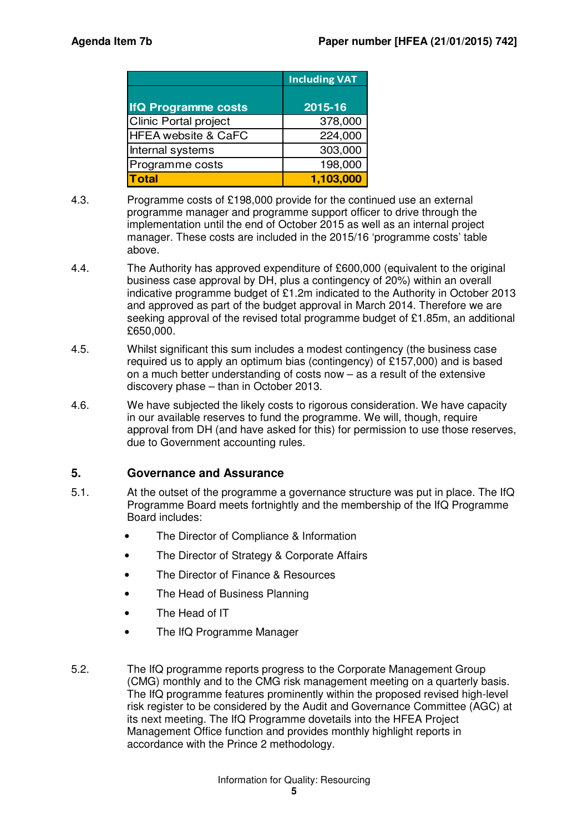|                                | <b>Including VAT</b> |
|--------------------------------|----------------------|
| <b>IfQ Programme costs</b>     | 2015-16              |
| Clinic Portal project          | 378,000              |
| <b>HFEA website &amp; CaFC</b> | 224,000              |
| Internal systems               | 303,000              |
| Programme costs                | 198,000              |
| <b>Total</b>                   | 1,103,000            |

- 4.3. Programme costs of £198,000 provide for the continued use an external programme manager and programme support officer to drive through the implementation until the end of October 2015 as well as an internal project manager. These costs are included in the 2015/16 'programme costs' table above.
- 4.4. The Authority has approved expenditure of £600,000 (equivalent to the original business case approval by DH, plus a contingency of 20%) within an overall indicative programme budget of £1.2m indicated to the Authority in October 2013 and approved as part of the budget approval in March 2014. Therefore we are seeking approval of the revised total programme budget of £1.85m, an additional £650,000.
- 4.5. Whilst significant this sum includes a modest contingency (the business case required us to apply an optimum bias (contingency) of £157,000) and is based on a much better understanding of costs now – as a result of the extensive discovery phase – than in October 2013.
- 4.6. We have subjected the likely costs to rigorous consideration. We have capacity in our available reserves to fund the programme. We will, though, require approval from DH (and have asked for this) for permission to use those reserves, due to Government accounting rules.

# **5. Governance and Assurance**

- 5.1. At the outset of the programme a governance structure was put in place. The IfQ Programme Board meets fortnightly and the membership of the IfQ Programme Board includes:
	- The Director of Compliance & Information
	- The Director of Strategy & Corporate Affairs
	- The Director of Finance & Resources
	- The Head of Business Planning
	- The Head of IT
	- The IfQ Programme Manager
- 5.2. The IfQ programme reports progress to the Corporate Management Group (CMG) monthly and to the CMG risk management meeting on a quarterly basis. The IfQ programme features prominently within the proposed revised high-level risk register to be considered by the Audit and Governance Committee (AGC) at its next meeting. The IfQ Programme dovetails into the HFEA Project Management Office function and provides monthly highlight reports in accordance with the Prince 2 methodology.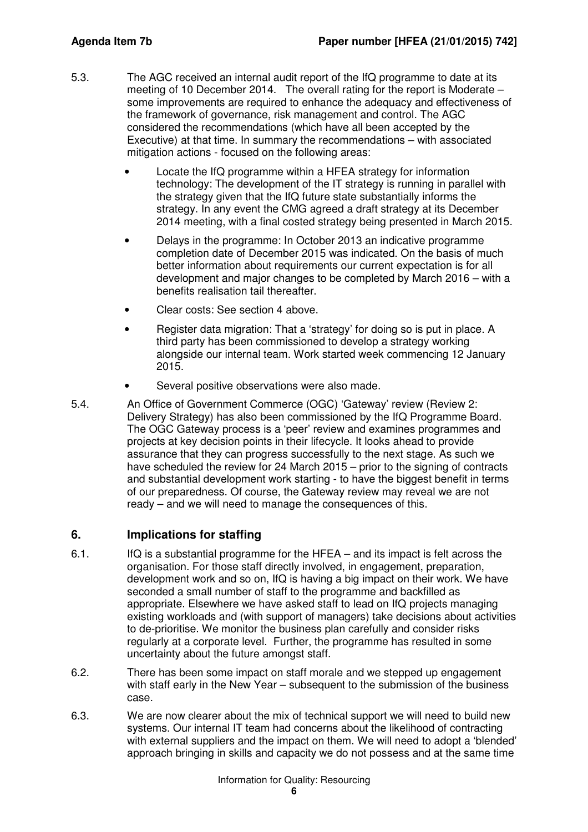- 5.3. The AGC received an internal audit report of the IfQ programme to date at its meeting of 10 December 2014. The overall rating for the report is Moderate – some improvements are required to enhance the adequacy and effectiveness of the framework of governance, risk management and control. The AGC considered the recommendations (which have all been accepted by the Executive) at that time. In summary the recommendations – with associated mitigation actions - focused on the following areas:
	- Locate the IfQ programme within a HFEA strategy for information technology: The development of the IT strategy is running in parallel with the strategy given that the IfQ future state substantially informs the strategy. In any event the CMG agreed a draft strategy at its December 2014 meeting, with a final costed strategy being presented in March 2015.
	- Delays in the programme: In October 2013 an indicative programme completion date of December 2015 was indicated. On the basis of much better information about requirements our current expectation is for all development and major changes to be completed by March 2016 – with a benefits realisation tail thereafter.
	- Clear costs: See section 4 above.
	- Register data migration: That a 'strategy' for doing so is put in place. A third party has been commissioned to develop a strategy working alongside our internal team. Work started week commencing 12 January 2015.
	- Several positive observations were also made.
- 5.4. An Office of Government Commerce (OGC) 'Gateway' review (Review 2: Delivery Strategy) has also been commissioned by the IfQ Programme Board. The OGC Gateway process is a 'peer' review and examines programmes and projects at key decision points in their lifecycle. It looks ahead to provide assurance that they can progress successfully to the next stage. As such we have scheduled the review for 24 March 2015 – prior to the signing of contracts and substantial development work starting - to have the biggest benefit in terms of our preparedness. Of course, the Gateway review may reveal we are not ready – and we will need to manage the consequences of this.

# **6. Implications for staffing**

- 6.1. IfQ is a substantial programme for the HFEA and its impact is felt across the organisation. For those staff directly involved, in engagement, preparation, development work and so on, IfQ is having a big impact on their work. We have seconded a small number of staff to the programme and backfilled as appropriate. Elsewhere we have asked staff to lead on IfQ projects managing existing workloads and (with support of managers) take decisions about activities to de-prioritise. We monitor the business plan carefully and consider risks regularly at a corporate level. Further, the programme has resulted in some uncertainty about the future amongst staff.
- 6.2. There has been some impact on staff morale and we stepped up engagement with staff early in the New Year – subsequent to the submission of the business case.
- 6.3. We are now clearer about the mix of technical support we will need to build new systems. Our internal IT team had concerns about the likelihood of contracting with external suppliers and the impact on them. We will need to adopt a 'blended' approach bringing in skills and capacity we do not possess and at the same time